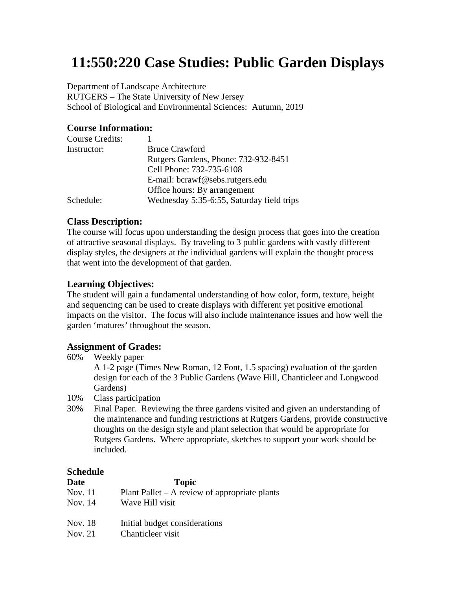# **11:550:220 Case Studies: Public Garden Displays**

Department of Landscape Architecture

RUTGERS – The State University of New Jersey School of Biological and Environmental Sciences: Autumn, 2019

# **Course Information:**

| <b>Bruce Crawford</b>                     |
|-------------------------------------------|
| Rutgers Gardens, Phone: 732-932-8451      |
| Cell Phone: 732-735-6108                  |
| E-mail: bcrawf@sebs.rutgers.edu           |
| Office hours: By arrangement              |
| Wednesday 5:35-6:55, Saturday field trips |
|                                           |

# **Class Description:**

The course will focus upon understanding the design process that goes into the creation of attractive seasonal displays. By traveling to 3 public gardens with vastly different display styles, the designers at the individual gardens will explain the thought process that went into the development of that garden.

# **Learning Objectives:**

The student will gain a fundamental understanding of how color, form, texture, height and sequencing can be used to create displays with different yet positive emotional impacts on the visitor. The focus will also include maintenance issues and how well the garden 'matures' throughout the season.

# **Assignment of Grades:**

60% Weekly paper

A 1-2 page (Times New Roman, 12 Font, 1.5 spacing) evaluation of the garden design for each of the 3 Public Gardens (Wave Hill, Chanticleer and Longwood Gardens)

- 10% Class participation
- 30% Final Paper. Reviewing the three gardens visited and given an understanding of the maintenance and funding restrictions at Rutgers Gardens, provide constructive thoughts on the design style and plant selection that would be appropriate for Rutgers Gardens. Where appropriate, sketches to support your work should be included.

# **Schedule**

| Date           | <b>Topic</b>                                    |
|----------------|-------------------------------------------------|
| <b>Nov.</b> 11 | Plant Pallet $-$ A review of appropriate plants |
| Nov. 14        | Wave Hill visit                                 |
| Nov. 18        | Initial budget considerations                   |
| Nov. 21        | Chanticleer visit                               |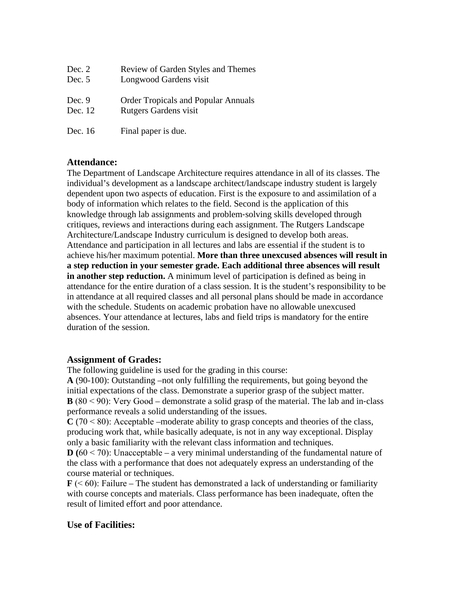| Dec. 2   | Review of Garden Styles and Themes         |
|----------|--------------------------------------------|
| Dec. $5$ | Longwood Gardens visit                     |
| Dec. 9   | <b>Order Tropicals and Popular Annuals</b> |
| Dec. 12  | Rutgers Gardens visit                      |
| Dec. 16  | Final paper is due.                        |

#### **Attendance:**

The Department of Landscape Architecture requires attendance in all of its classes. The individual's development as a landscape architect/landscape industry student is largely dependent upon two aspects of education. First is the exposure to and assimilation of a body of information which relates to the field. Second is the application of this knowledge through lab assignments and problem‐solving skills developed through critiques, reviews and interactions during each assignment. The Rutgers Landscape Architecture/Landscape Industry curriculum is designed to develop both areas. Attendance and participation in all lectures and labs are essential if the student is to achieve his/her maximum potential. **More than three unexcused absences will result in a step reduction in your semester grade. Each additional three absences will result in another step reduction.** A minimum level of participation is defined as being in attendance for the entire duration of a class session. It is the student's responsibility to be in attendance at all required classes and all personal plans should be made in accordance with the schedule. Students on academic probation have no allowable unexcused absences. Your attendance at lectures, labs and field trips is mandatory for the entire duration of the session.

#### **Assignment of Grades:**

The following guideline is used for the grading in this course:

**A** (90-100): Outstanding –not only fulfilling the requirements, but going beyond the initial expectations of the class. Demonstrate a superior grasp of the subject matter. **B** (80 ˂ 90): Very Good – demonstrate a solid grasp of the material. The lab and in‐class performance reveals a solid understanding of the issues.

 $C$  (70  $<$  80): Acceptable –moderate ability to grasp concepts and theories of the class, producing work that, while basically adequate, is not in any way exceptional. Display only a basic familiarity with the relevant class information and techniques.

 $\mathbf{D}$  (60  $\leq$  70): Unacceptable – a very minimal understanding of the fundamental nature of the class with a performance that does not adequately express an understanding of the course material or techniques.

 $\mathbf{F}$  ( $\leq 60$ ): Failure – The student has demonstrated a lack of understanding or familiarity with course concepts and materials. Class performance has been inadequate, often the result of limited effort and poor attendance.

# **Use of Facilities:**